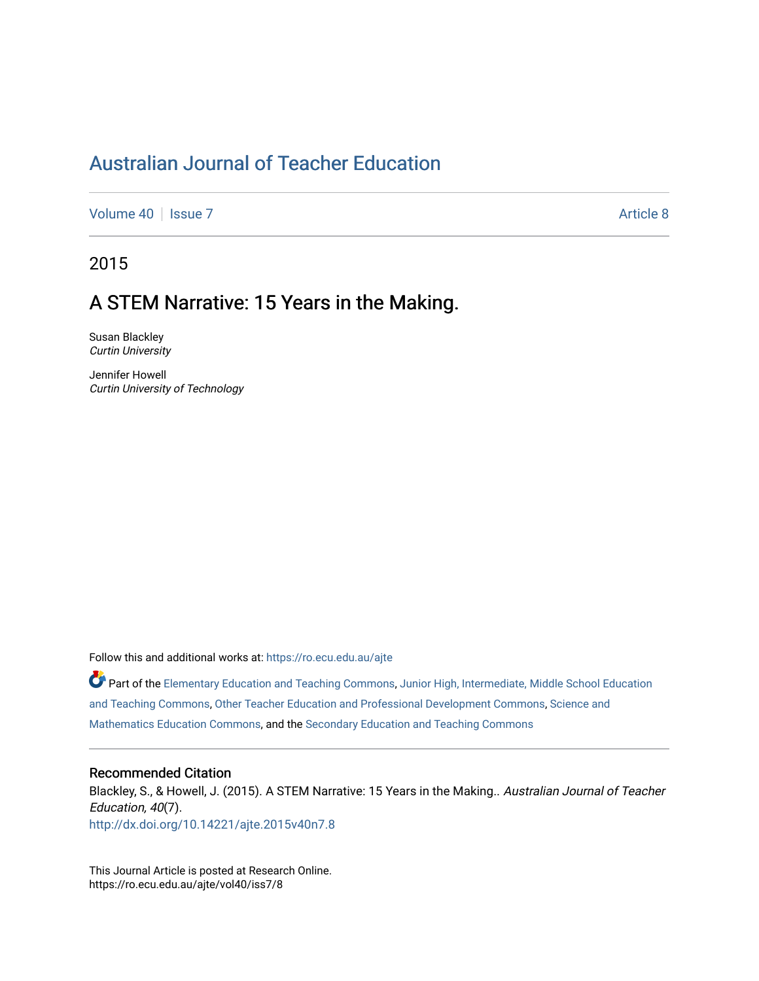# [Australian Journal of Teacher Education](https://ro.ecu.edu.au/ajte)

[Volume 40](https://ro.ecu.edu.au/ajte/vol40) | [Issue 7](https://ro.ecu.edu.au/ajte/vol40/iss7) Article 8

2015

# A STEM Narrative: 15 Years in the Making.

Susan Blackley Curtin University

Jennifer Howell Curtin University of Technology

Follow this and additional works at: [https://ro.ecu.edu.au/ajte](https://ro.ecu.edu.au/ajte?utm_source=ro.ecu.edu.au%2Fajte%2Fvol40%2Fiss7%2F8&utm_medium=PDF&utm_campaign=PDFCoverPages) 

Part of the [Elementary Education and Teaching Commons,](http://network.bepress.com/hgg/discipline/805?utm_source=ro.ecu.edu.au%2Fajte%2Fvol40%2Fiss7%2F8&utm_medium=PDF&utm_campaign=PDFCoverPages) [Junior High, Intermediate, Middle School Education](http://network.bepress.com/hgg/discipline/807?utm_source=ro.ecu.edu.au%2Fajte%2Fvol40%2Fiss7%2F8&utm_medium=PDF&utm_campaign=PDFCoverPages) [and Teaching Commons](http://network.bepress.com/hgg/discipline/807?utm_source=ro.ecu.edu.au%2Fajte%2Fvol40%2Fiss7%2F8&utm_medium=PDF&utm_campaign=PDFCoverPages), [Other Teacher Education and Professional Development Commons,](http://network.bepress.com/hgg/discipline/810?utm_source=ro.ecu.edu.au%2Fajte%2Fvol40%2Fiss7%2F8&utm_medium=PDF&utm_campaign=PDFCoverPages) [Science and](http://network.bepress.com/hgg/discipline/800?utm_source=ro.ecu.edu.au%2Fajte%2Fvol40%2Fiss7%2F8&utm_medium=PDF&utm_campaign=PDFCoverPages) [Mathematics Education Commons,](http://network.bepress.com/hgg/discipline/800?utm_source=ro.ecu.edu.au%2Fajte%2Fvol40%2Fiss7%2F8&utm_medium=PDF&utm_campaign=PDFCoverPages) and the [Secondary Education and Teaching Commons](http://network.bepress.com/hgg/discipline/809?utm_source=ro.ecu.edu.au%2Fajte%2Fvol40%2Fiss7%2F8&utm_medium=PDF&utm_campaign=PDFCoverPages) 

#### Recommended Citation

Blackley, S., & Howell, J. (2015). A STEM Narrative: 15 Years in the Making.. Australian Journal of Teacher Education, 40(7). <http://dx.doi.org/10.14221/ajte.2015v40n7.8>

This Journal Article is posted at Research Online. https://ro.ecu.edu.au/ajte/vol40/iss7/8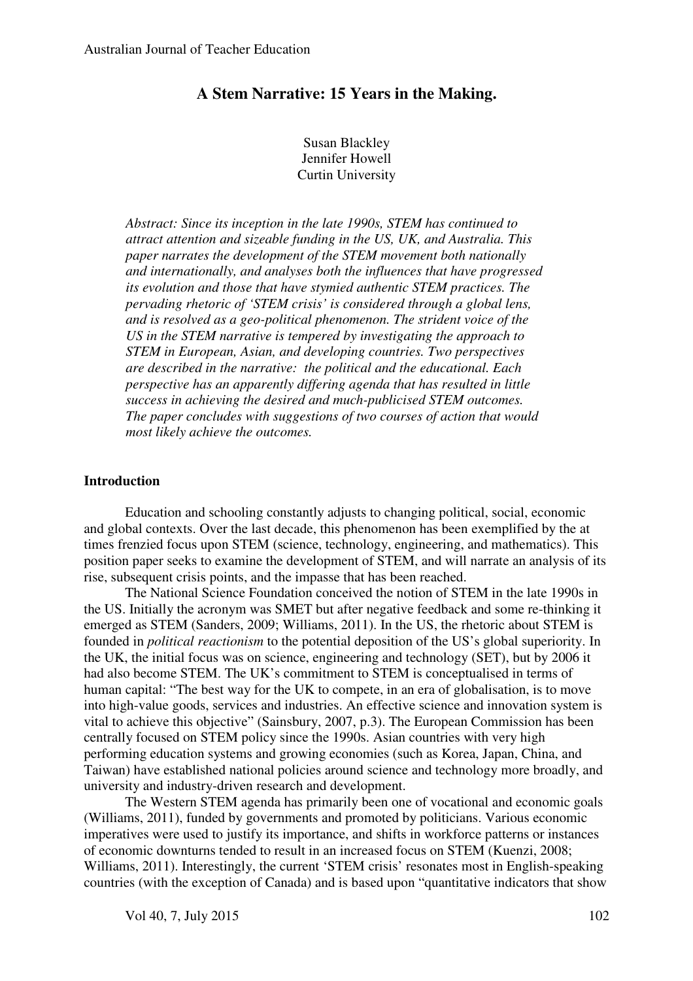# **A Stem Narrative: 15 Years in the Making.**

Susan Blackley Jennifer Howell Curtin University

*Abstract: Since its inception in the late 1990s, STEM has continued to attract attention and sizeable funding in the US, UK, and Australia. This paper narrates the development of the STEM movement both nationally and internationally, and analyses both the influences that have progressed its evolution and those that have stymied authentic STEM practices. The pervading rhetoric of 'STEM crisis' is considered through a global lens, and is resolved as a geo-political phenomenon. The strident voice of the US in the STEM narrative is tempered by investigating the approach to STEM in European, Asian, and developing countries. Two perspectives are described in the narrative: the political and the educational. Each perspective has an apparently differing agenda that has resulted in little success in achieving the desired and much-publicised STEM outcomes. The paper concludes with suggestions of two courses of action that would most likely achieve the outcomes.* 

#### **Introduction**

Education and schooling constantly adjusts to changing political, social, economic and global contexts. Over the last decade, this phenomenon has been exemplified by the at times frenzied focus upon STEM (science, technology, engineering, and mathematics). This position paper seeks to examine the development of STEM, and will narrate an analysis of its rise, subsequent crisis points, and the impasse that has been reached.

The National Science Foundation conceived the notion of STEM in the late 1990s in the US. Initially the acronym was SMET but after negative feedback and some re-thinking it emerged as STEM (Sanders, 2009; Williams, 2011). In the US, the rhetoric about STEM is founded in *political reactionism* to the potential deposition of the US's global superiority. In the UK, the initial focus was on science, engineering and technology (SET), but by 2006 it had also become STEM. The UK's commitment to STEM is conceptualised in terms of human capital: "The best way for the UK to compete, in an era of globalisation, is to move into high-value goods, services and industries. An effective science and innovation system is vital to achieve this objective" (Sainsbury, 2007, p.3). The European Commission has been centrally focused on STEM policy since the 1990s. Asian countries with very high performing education systems and growing economies (such as Korea, Japan, China, and Taiwan) have established national policies around science and technology more broadly, and university and industry-driven research and development.

The Western STEM agenda has primarily been one of vocational and economic goals (Williams, 2011), funded by governments and promoted by politicians. Various economic imperatives were used to justify its importance, and shifts in workforce patterns or instances of economic downturns tended to result in an increased focus on STEM (Kuenzi, 2008; Williams, 2011). Interestingly, the current 'STEM crisis' resonates most in English-speaking countries (with the exception of Canada) and is based upon "quantitative indicators that show

Vol 40, 7, July 2015 102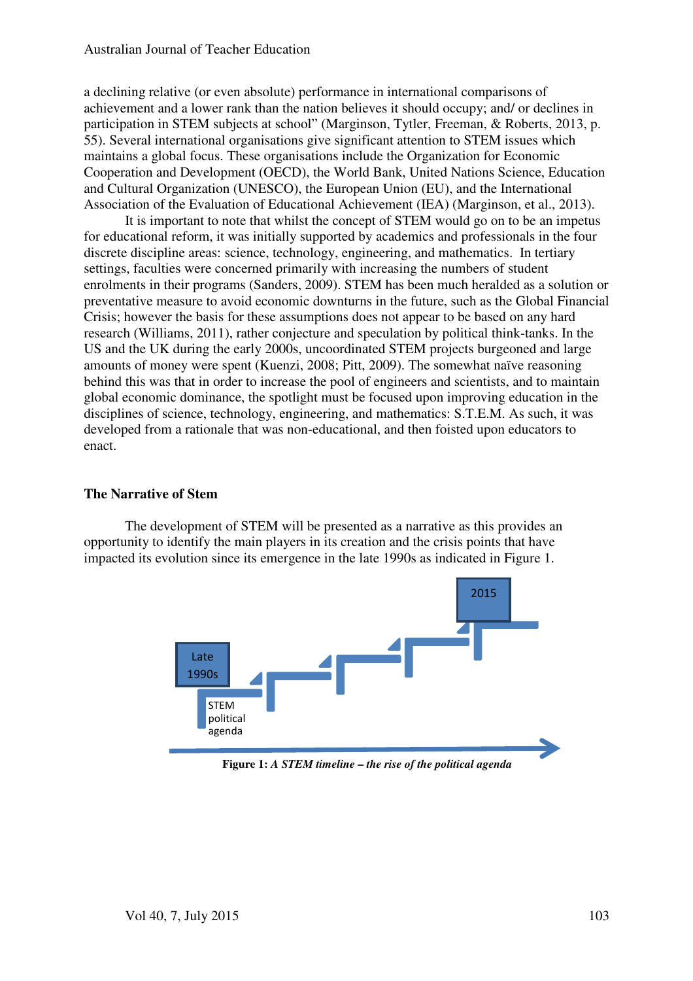a declining relative (or even absolute) performance in international comparisons of achievement and a lower rank than the nation believes it should occupy; and/ or declines in participation in STEM subjects at school" (Marginson, Tytler, Freeman, & Roberts, 2013, p. 55). Several international organisations give significant attention to STEM issues which maintains a global focus. These organisations include the Organization for Economic Cooperation and Development (OECD), the World Bank, United Nations Science, Education and Cultural Organization (UNESCO), the European Union (EU), and the International Association of the Evaluation of Educational Achievement (IEA) (Marginson, et al., 2013).

It is important to note that whilst the concept of STEM would go on to be an impetus for educational reform, it was initially supported by academics and professionals in the four discrete discipline areas: science, technology, engineering, and mathematics. In tertiary settings, faculties were concerned primarily with increasing the numbers of student enrolments in their programs (Sanders, 2009). STEM has been much heralded as a solution or preventative measure to avoid economic downturns in the future, such as the Global Financial Crisis; however the basis for these assumptions does not appear to be based on any hard research (Williams, 2011), rather conjecture and speculation by political think-tanks. In the US and the UK during the early 2000s, uncoordinated STEM projects burgeoned and large amounts of money were spent (Kuenzi, 2008; Pitt, 2009). The somewhat naïve reasoning behind this was that in order to increase the pool of engineers and scientists, and to maintain global economic dominance, the spotlight must be focused upon improving education in the disciplines of science, technology, engineering, and mathematics: S.T.E.M. As such, it was developed from a rationale that was non-educational, and then foisted upon educators to enact.

### **The Narrative of Stem**

The development of STEM will be presented as a narrative as this provides an opportunity to identify the main players in its creation and the crisis points that have impacted its evolution since its emergence in the late 1990s as indicated in Figure 1.



**Figure 1:** *A STEM timeline* **–** *the rise of the political agenda*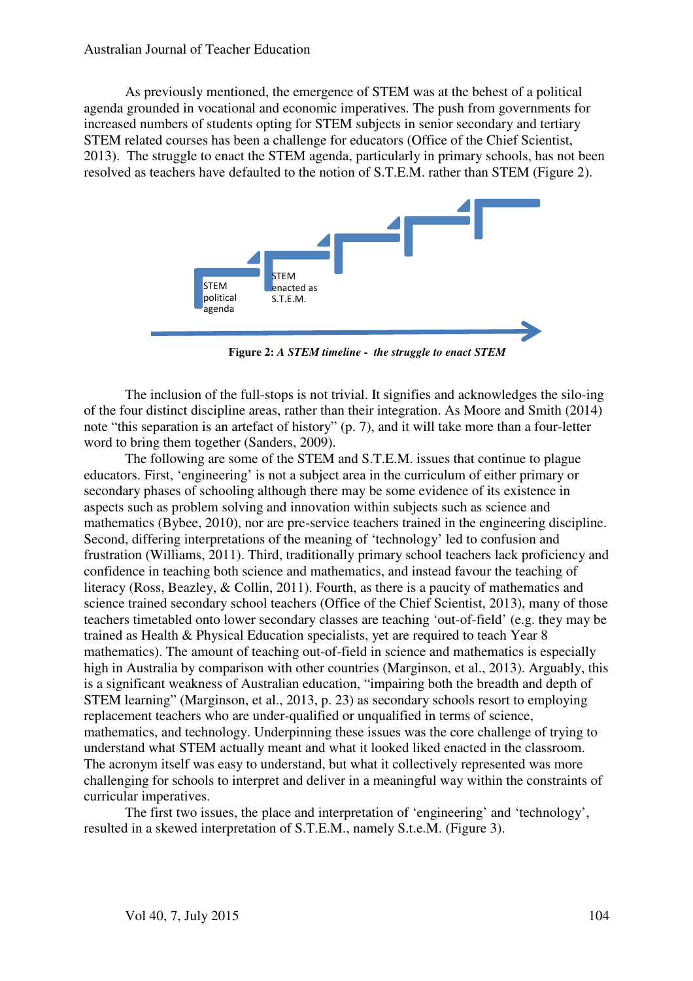#### Australian Journal of Teacher Education

As previously mentioned, the emergence of STEM was at the behest of a political agenda grounded in vocational and economic imperatives. The push from governments for increased numbers of students opting for STEM subjects in senior secondary and tertiary STEM related courses has been a challenge for educators (Office of the Chief Scientist, 2013). The struggle to enact the STEM agenda, particularly in primary schools, has not been resolved as teachers have defaulted to the notion of S.T.E.M. rather than STEM (Figure 2).



**Figure 2:** *A STEM timeline - the struggle to enact STEM* 

The inclusion of the full-stops is not trivial. It signifies and acknowledges the silo-ing of the four distinct discipline areas, rather than their integration. As Moore and Smith (2014) note "this separation is an artefact of history" (p. 7), and it will take more than a four-letter word to bring them together (Sanders, 2009).

The following are some of the STEM and S.T.E.M. issues that continue to plague educators. First, 'engineering' is not a subject area in the curriculum of either primary or secondary phases of schooling although there may be some evidence of its existence in aspects such as problem solving and innovation within subjects such as science and mathematics (Bybee, 2010), nor are pre-service teachers trained in the engineering discipline. Second, differing interpretations of the meaning of 'technology' led to confusion and frustration (Williams, 2011). Third, traditionally primary school teachers lack proficiency and confidence in teaching both science and mathematics, and instead favour the teaching of literacy (Ross, Beazley, & Collin, 2011). Fourth, as there is a paucity of mathematics and science trained secondary school teachers (Office of the Chief Scientist, 2013), many of those teachers timetabled onto lower secondary classes are teaching 'out-of-field' (e.g. they may be trained as Health & Physical Education specialists, yet are required to teach Year 8 mathematics). The amount of teaching out-of-field in science and mathematics is especially high in Australia by comparison with other countries (Marginson, et al., 2013). Arguably, this is a significant weakness of Australian education, "impairing both the breadth and depth of STEM learning" (Marginson, et al., 2013, p. 23) as secondary schools resort to employing replacement teachers who are under-qualified or unqualified in terms of science, mathematics, and technology. Underpinning these issues was the core challenge of trying to understand what STEM actually meant and what it looked liked enacted in the classroom. The acronym itself was easy to understand, but what it collectively represented was more challenging for schools to interpret and deliver in a meaningful way within the constraints of curricular imperatives.

The first two issues, the place and interpretation of 'engineering' and 'technology', resulted in a skewed interpretation of S.T.E.M., namely S.t.e.M. (Figure 3).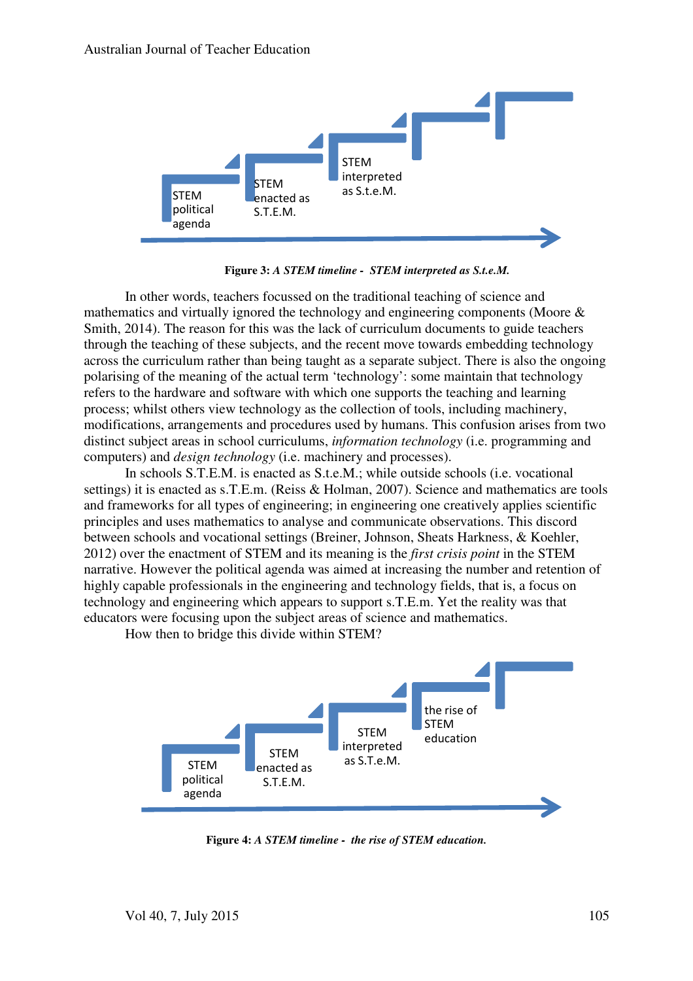

**Figure 3:** *A STEM timeline - STEM interpreted as S.t.e.M.*

In other words, teachers focussed on the traditional teaching of science and mathematics and virtually ignored the technology and engineering components (Moore & Smith, 2014). The reason for this was the lack of curriculum documents to guide teachers through the teaching of these subjects, and the recent move towards embedding technology across the curriculum rather than being taught as a separate subject. There is also the ongoing polarising of the meaning of the actual term 'technology': some maintain that technology refers to the hardware and software with which one supports the teaching and learning process; whilst others view technology as the collection of tools, including machinery, modifications, arrangements and procedures used by humans. This confusion arises from two distinct subject areas in school curriculums, *information technology* (i.e. programming and computers) and *design technology* (i.e. machinery and processes).

In schools S.T.E.M. is enacted as S.t.e.M.; while outside schools (i.e. vocational settings) it is enacted as s.T.E.m. (Reiss & Holman, 2007). Science and mathematics are tools and frameworks for all types of engineering; in engineering one creatively applies scientific principles and uses mathematics to analyse and communicate observations. This discord between schools and vocational settings (Breiner, Johnson, Sheats Harkness, & Koehler, 2012) over the enactment of STEM and its meaning is the *first crisis point* in the STEM narrative. However the political agenda was aimed at increasing the number and retention of highly capable professionals in the engineering and technology fields, that is, a focus on technology and engineering which appears to support s.T.E.m. Yet the reality was that educators were focusing upon the subject areas of science and mathematics.

How then to bridge this divide within STEM?



**Figure 4:** *A STEM timeline - the rise of STEM education.*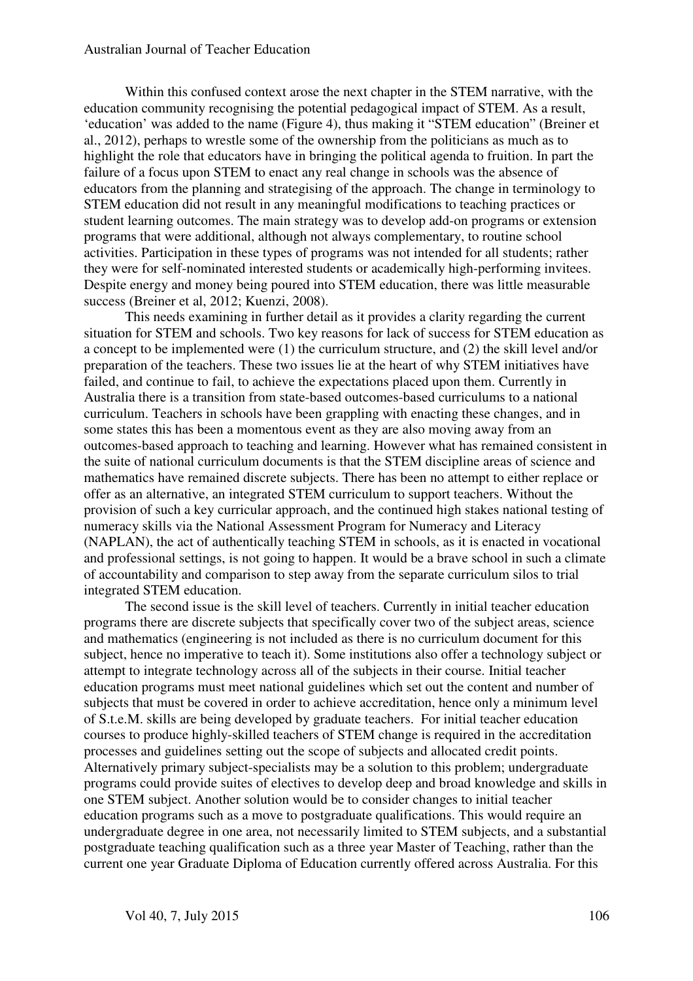#### Australian Journal of Teacher Education

Within this confused context arose the next chapter in the STEM narrative, with the education community recognising the potential pedagogical impact of STEM. As a result, 'education' was added to the name (Figure 4), thus making it "STEM education" (Breiner et al., 2012), perhaps to wrestle some of the ownership from the politicians as much as to highlight the role that educators have in bringing the political agenda to fruition. In part the failure of a focus upon STEM to enact any real change in schools was the absence of educators from the planning and strategising of the approach. The change in terminology to STEM education did not result in any meaningful modifications to teaching practices or student learning outcomes. The main strategy was to develop add-on programs or extension programs that were additional, although not always complementary, to routine school activities. Participation in these types of programs was not intended for all students; rather they were for self-nominated interested students or academically high-performing invitees. Despite energy and money being poured into STEM education, there was little measurable success (Breiner et al, 2012; Kuenzi, 2008).

This needs examining in further detail as it provides a clarity regarding the current situation for STEM and schools. Two key reasons for lack of success for STEM education as a concept to be implemented were (1) the curriculum structure, and (2) the skill level and/or preparation of the teachers. These two issues lie at the heart of why STEM initiatives have failed, and continue to fail, to achieve the expectations placed upon them. Currently in Australia there is a transition from state-based outcomes-based curriculums to a national curriculum. Teachers in schools have been grappling with enacting these changes, and in some states this has been a momentous event as they are also moving away from an outcomes-based approach to teaching and learning. However what has remained consistent in the suite of national curriculum documents is that the STEM discipline areas of science and mathematics have remained discrete subjects. There has been no attempt to either replace or offer as an alternative, an integrated STEM curriculum to support teachers. Without the provision of such a key curricular approach, and the continued high stakes national testing of numeracy skills via the National Assessment Program for Numeracy and Literacy (NAPLAN), the act of authentically teaching STEM in schools, as it is enacted in vocational and professional settings, is not going to happen. It would be a brave school in such a climate of accountability and comparison to step away from the separate curriculum silos to trial integrated STEM education.

The second issue is the skill level of teachers. Currently in initial teacher education programs there are discrete subjects that specifically cover two of the subject areas, science and mathematics (engineering is not included as there is no curriculum document for this subject, hence no imperative to teach it). Some institutions also offer a technology subject or attempt to integrate technology across all of the subjects in their course. Initial teacher education programs must meet national guidelines which set out the content and number of subjects that must be covered in order to achieve accreditation, hence only a minimum level of S.t.e.M. skills are being developed by graduate teachers. For initial teacher education courses to produce highly-skilled teachers of STEM change is required in the accreditation processes and guidelines setting out the scope of subjects and allocated credit points. Alternatively primary subject-specialists may be a solution to this problem; undergraduate programs could provide suites of electives to develop deep and broad knowledge and skills in one STEM subject. Another solution would be to consider changes to initial teacher education programs such as a move to postgraduate qualifications. This would require an undergraduate degree in one area, not necessarily limited to STEM subjects, and a substantial postgraduate teaching qualification such as a three year Master of Teaching, rather than the current one year Graduate Diploma of Education currently offered across Australia. For this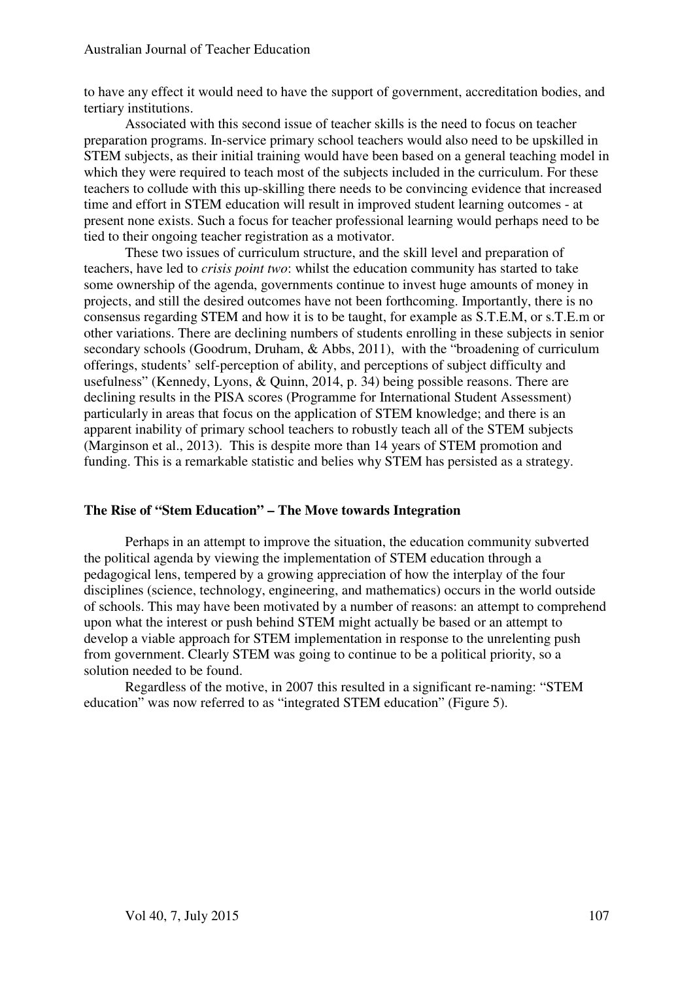to have any effect it would need to have the support of government, accreditation bodies, and tertiary institutions.

Associated with this second issue of teacher skills is the need to focus on teacher preparation programs. In-service primary school teachers would also need to be upskilled in STEM subjects, as their initial training would have been based on a general teaching model in which they were required to teach most of the subjects included in the curriculum. For these teachers to collude with this up-skilling there needs to be convincing evidence that increased time and effort in STEM education will result in improved student learning outcomes - at present none exists. Such a focus for teacher professional learning would perhaps need to be tied to their ongoing teacher registration as a motivator.

These two issues of curriculum structure, and the skill level and preparation of teachers, have led to *crisis point two*: whilst the education community has started to take some ownership of the agenda, governments continue to invest huge amounts of money in projects, and still the desired outcomes have not been forthcoming. Importantly, there is no consensus regarding STEM and how it is to be taught, for example as S.T.E.M, or s.T.E.m or other variations. There are declining numbers of students enrolling in these subjects in senior secondary schools (Goodrum, Druham, & Abbs, 2011), with the "broadening of curriculum offerings, students' self-perception of ability, and perceptions of subject difficulty and usefulness" (Kennedy, Lyons, & Quinn, 2014, p. 34) being possible reasons. There are declining results in the PISA scores (Programme for International Student Assessment) particularly in areas that focus on the application of STEM knowledge; and there is an apparent inability of primary school teachers to robustly teach all of the STEM subjects (Marginson et al., 2013). This is despite more than 14 years of STEM promotion and funding. This is a remarkable statistic and belies why STEM has persisted as a strategy.

# **The Rise of "Stem Education" – The Move towards Integration**

Perhaps in an attempt to improve the situation, the education community subverted the political agenda by viewing the implementation of STEM education through a pedagogical lens, tempered by a growing appreciation of how the interplay of the four disciplines (science, technology, engineering, and mathematics) occurs in the world outside of schools. This may have been motivated by a number of reasons: an attempt to comprehend upon what the interest or push behind STEM might actually be based or an attempt to develop a viable approach for STEM implementation in response to the unrelenting push from government. Clearly STEM was going to continue to be a political priority, so a solution needed to be found.

Regardless of the motive, in 2007 this resulted in a significant re-naming: "STEM education" was now referred to as "integrated STEM education" (Figure 5).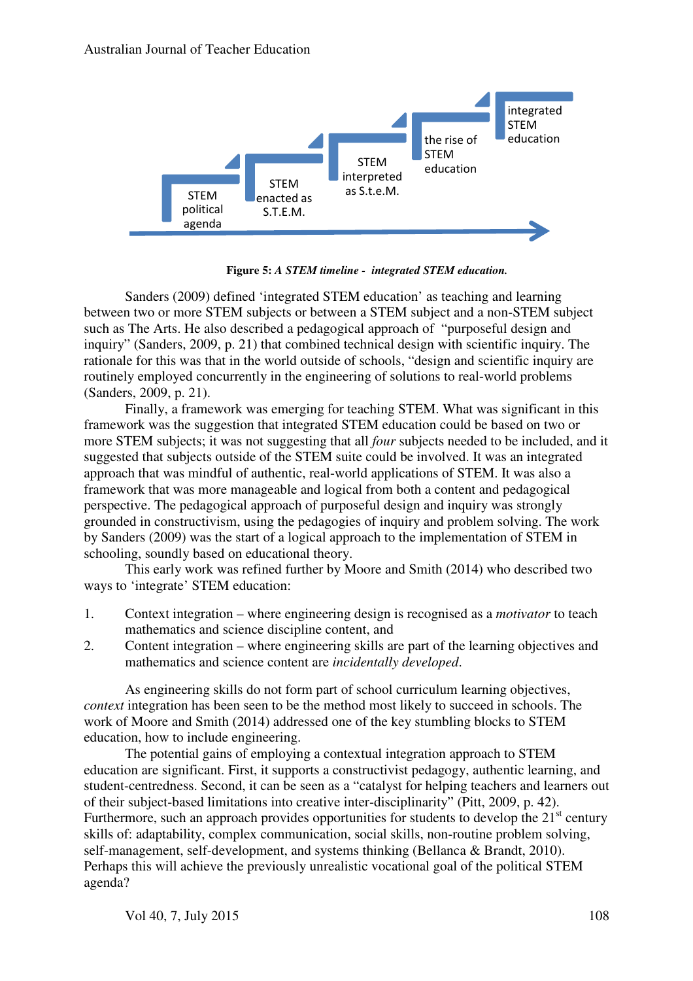

**Figure 5:** *A STEM timeline - integrated STEM education.* 

Sanders (2009) defined 'integrated STEM education' as teaching and learning between two or more STEM subjects or between a STEM subject and a non-STEM subject such as The Arts. He also described a pedagogical approach of "purposeful design and inquiry" (Sanders, 2009, p. 21) that combined technical design with scientific inquiry. The rationale for this was that in the world outside of schools, "design and scientific inquiry are routinely employed concurrently in the engineering of solutions to real-world problems (Sanders, 2009, p. 21).

Finally, a framework was emerging for teaching STEM. What was significant in this framework was the suggestion that integrated STEM education could be based on two or more STEM subjects; it was not suggesting that all *four* subjects needed to be included, and it suggested that subjects outside of the STEM suite could be involved. It was an integrated approach that was mindful of authentic, real-world applications of STEM. It was also a framework that was more manageable and logical from both a content and pedagogical perspective. The pedagogical approach of purposeful design and inquiry was strongly grounded in constructivism, using the pedagogies of inquiry and problem solving. The work by Sanders (2009) was the start of a logical approach to the implementation of STEM in schooling, soundly based on educational theory.

This early work was refined further by Moore and Smith (2014) who described two ways to 'integrate' STEM education:

- 1. Context integration where engineering design is recognised as a *motivator* to teach mathematics and science discipline content, and
- 2. Content integration where engineering skills are part of the learning objectives and mathematics and science content are *incidentally developed*.

As engineering skills do not form part of school curriculum learning objectives, *context* integration has been seen to be the method most likely to succeed in schools. The work of Moore and Smith (2014) addressed one of the key stumbling blocks to STEM education, how to include engineering.

The potential gains of employing a contextual integration approach to STEM education are significant. First, it supports a constructivist pedagogy, authentic learning, and student-centredness. Second, it can be seen as a "catalyst for helping teachers and learners out of their subject-based limitations into creative inter-disciplinarity" (Pitt, 2009, p. 42). Furthermore, such an approach provides opportunities for students to develop the  $21<sup>st</sup>$  century skills of: adaptability, complex communication, social skills, non-routine problem solving, self-management, self-development, and systems thinking (Bellanca & Brandt, 2010). Perhaps this will achieve the previously unrealistic vocational goal of the political STEM agenda?

Vol 40, 7, July 2015 108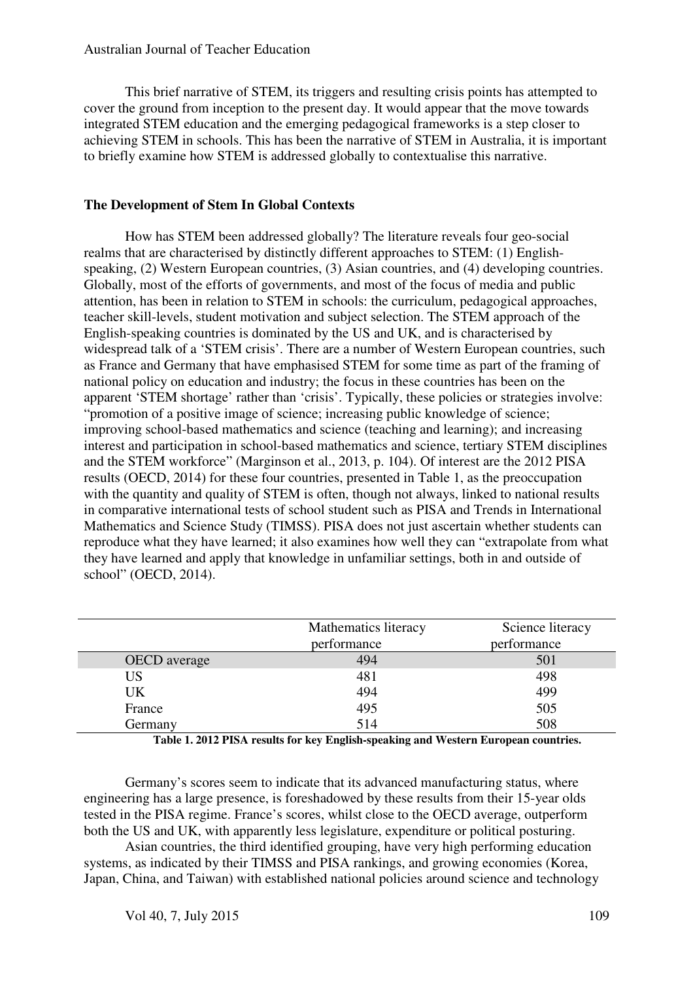This brief narrative of STEM, its triggers and resulting crisis points has attempted to cover the ground from inception to the present day. It would appear that the move towards integrated STEM education and the emerging pedagogical frameworks is a step closer to achieving STEM in schools. This has been the narrative of STEM in Australia, it is important to briefly examine how STEM is addressed globally to contextualise this narrative.

### **The Development of Stem In Global Contexts**

How has STEM been addressed globally? The literature reveals four geo-social realms that are characterised by distinctly different approaches to STEM: (1) Englishspeaking, (2) Western European countries, (3) Asian countries, and (4) developing countries. Globally, most of the efforts of governments, and most of the focus of media and public attention, has been in relation to STEM in schools: the curriculum, pedagogical approaches, teacher skill-levels, student motivation and subject selection. The STEM approach of the English-speaking countries is dominated by the US and UK, and is characterised by widespread talk of a 'STEM crisis'. There are a number of Western European countries, such as France and Germany that have emphasised STEM for some time as part of the framing of national policy on education and industry; the focus in these countries has been on the apparent 'STEM shortage' rather than 'crisis'. Typically, these policies or strategies involve: "promotion of a positive image of science; increasing public knowledge of science; improving school-based mathematics and science (teaching and learning); and increasing interest and participation in school-based mathematics and science, tertiary STEM disciplines and the STEM workforce" (Marginson et al., 2013, p. 104). Of interest are the 2012 PISA results (OECD, 2014) for these four countries, presented in Table 1, as the preoccupation with the quantity and quality of STEM is often, though not always, linked to national results in comparative international tests of school student such as PISA and Trends in International Mathematics and Science Study (TIMSS). PISA does not just ascertain whether students can reproduce what they have learned; it also examines how well they can "extrapolate from what they have learned and apply that knowledge in unfamiliar settings, both in and outside of school" (OECD, 2014).

|                     | Mathematics literacy<br>performance | Science literacy<br>performance |
|---------------------|-------------------------------------|---------------------------------|
| <b>OECD</b> average | 494                                 | 501                             |
| <b>US</b>           | 481                                 | 498                             |
| UK.                 | 494                                 | 499                             |
| France              | 495                                 | 505                             |
| Germany             | 514                                 | 508                             |

**Table 1. 2012 PISA results for key English-speaking and Western European countries.**

Germany's scores seem to indicate that its advanced manufacturing status, where engineering has a large presence, is foreshadowed by these results from their 15-year olds tested in the PISA regime. France's scores, whilst close to the OECD average, outperform both the US and UK, with apparently less legislature, expenditure or political posturing.

Asian countries, the third identified grouping, have very high performing education systems, as indicated by their TIMSS and PISA rankings, and growing economies (Korea, Japan, China, and Taiwan) with established national policies around science and technology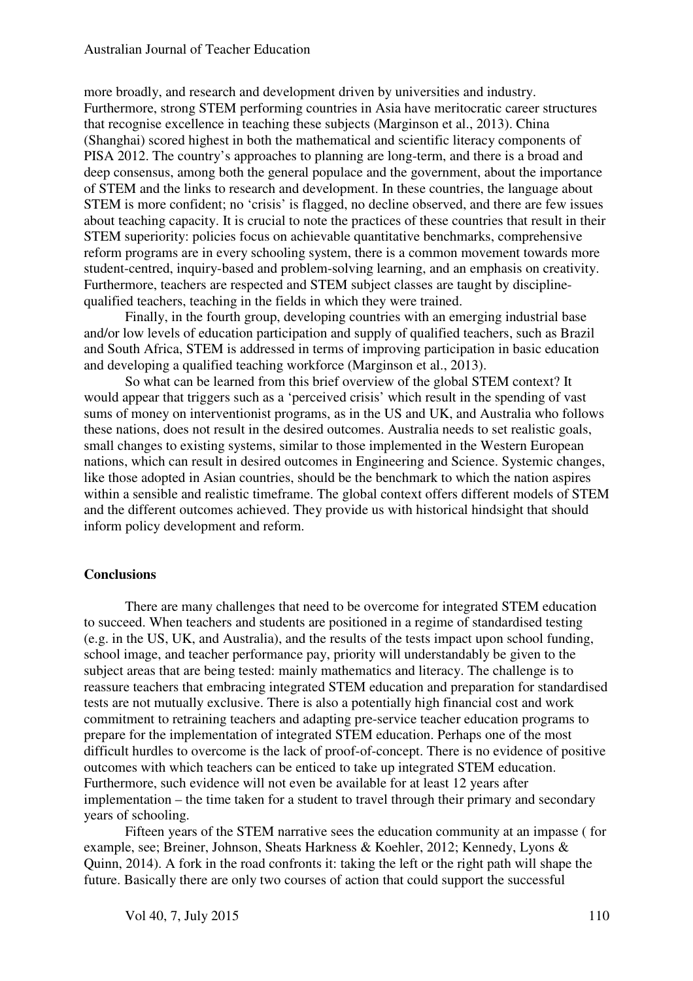more broadly, and research and development driven by universities and industry. Furthermore, strong STEM performing countries in Asia have meritocratic career structures that recognise excellence in teaching these subjects (Marginson et al., 2013). China (Shanghai) scored highest in both the mathematical and scientific literacy components of PISA 2012. The country's approaches to planning are long-term, and there is a broad and deep consensus, among both the general populace and the government, about the importance of STEM and the links to research and development. In these countries, the language about STEM is more confident; no 'crisis' is flagged, no decline observed, and there are few issues about teaching capacity. It is crucial to note the practices of these countries that result in their STEM superiority: policies focus on achievable quantitative benchmarks, comprehensive reform programs are in every schooling system, there is a common movement towards more student-centred, inquiry-based and problem-solving learning, and an emphasis on creativity. Furthermore, teachers are respected and STEM subject classes are taught by disciplinequalified teachers, teaching in the fields in which they were trained.

Finally, in the fourth group, developing countries with an emerging industrial base and/or low levels of education participation and supply of qualified teachers, such as Brazil and South Africa, STEM is addressed in terms of improving participation in basic education and developing a qualified teaching workforce (Marginson et al., 2013).

So what can be learned from this brief overview of the global STEM context? It would appear that triggers such as a 'perceived crisis' which result in the spending of vast sums of money on interventionist programs, as in the US and UK, and Australia who follows these nations, does not result in the desired outcomes. Australia needs to set realistic goals, small changes to existing systems, similar to those implemented in the Western European nations, which can result in desired outcomes in Engineering and Science. Systemic changes, like those adopted in Asian countries, should be the benchmark to which the nation aspires within a sensible and realistic timeframe. The global context offers different models of STEM and the different outcomes achieved. They provide us with historical hindsight that should inform policy development and reform.

#### **Conclusions**

There are many challenges that need to be overcome for integrated STEM education to succeed. When teachers and students are positioned in a regime of standardised testing (e.g. in the US, UK, and Australia), and the results of the tests impact upon school funding, school image, and teacher performance pay, priority will understandably be given to the subject areas that are being tested: mainly mathematics and literacy. The challenge is to reassure teachers that embracing integrated STEM education and preparation for standardised tests are not mutually exclusive. There is also a potentially high financial cost and work commitment to retraining teachers and adapting pre-service teacher education programs to prepare for the implementation of integrated STEM education. Perhaps one of the most difficult hurdles to overcome is the lack of proof-of-concept. There is no evidence of positive outcomes with which teachers can be enticed to take up integrated STEM education. Furthermore, such evidence will not even be available for at least 12 years after implementation – the time taken for a student to travel through their primary and secondary years of schooling.

Fifteen years of the STEM narrative sees the education community at an impasse ( for example, see; Breiner, Johnson, Sheats Harkness & Koehler, 2012; Kennedy, Lyons & Quinn, 2014). A fork in the road confronts it: taking the left or the right path will shape the future. Basically there are only two courses of action that could support the successful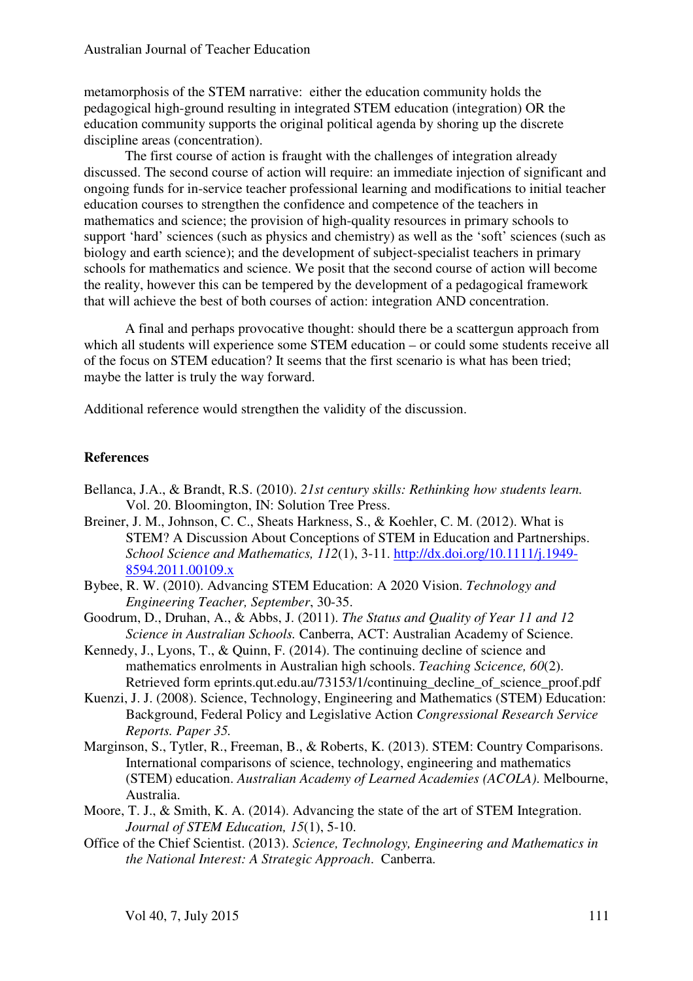metamorphosis of the STEM narrative: either the education community holds the pedagogical high-ground resulting in integrated STEM education (integration) OR the education community supports the original political agenda by shoring up the discrete discipline areas (concentration).

The first course of action is fraught with the challenges of integration already discussed. The second course of action will require: an immediate injection of significant and ongoing funds for in-service teacher professional learning and modifications to initial teacher education courses to strengthen the confidence and competence of the teachers in mathematics and science; the provision of high-quality resources in primary schools to support 'hard' sciences (such as physics and chemistry) as well as the 'soft' sciences (such as biology and earth science); and the development of subject-specialist teachers in primary schools for mathematics and science. We posit that the second course of action will become the reality, however this can be tempered by the development of a pedagogical framework that will achieve the best of both courses of action: integration AND concentration.

A final and perhaps provocative thought: should there be a scattergun approach from which all students will experience some STEM education – or could some students receive all of the focus on STEM education? It seems that the first scenario is what has been tried; maybe the latter is truly the way forward.

Additional reference would strengthen the validity of the discussion.

# **References**

- Bellanca, J.A., & Brandt, R.S. (2010). *21st century skills: Rethinking how students learn.* Vol. 20. Bloomington, IN: Solution Tree Press.
- Breiner, J. M., Johnson, C. C., Sheats Harkness, S., & Koehler, C. M. (2012). What is STEM? A Discussion About Conceptions of STEM in Education and Partnerships. *School Science and Mathematics, 112*(1), 3-11. http://dx.doi.org/10.1111/j.1949- 8594.2011.00109.x
- Bybee, R. W. (2010). Advancing STEM Education: A 2020 Vision. *Technology and Engineering Teacher, September*, 30-35.
- Goodrum, D., Druhan, A., & Abbs, J. (2011). *The Status and Quality of Year 11 and 12 Science in Australian Schools.* Canberra, ACT: Australian Academy of Science.
- Kennedy, J., Lyons, T., & Quinn, F. (2014). The continuing decline of science and mathematics enrolments in Australian high schools. *Teaching Scicence, 60*(2). Retrieved form eprints.qut.edu.au/73153/1/continuing decline of science proof.pdf
- Kuenzi, J. J. (2008). Science, Technology, Engineering and Mathematics (STEM) Education: Background, Federal Policy and Legislative Action *Congressional Research Service Reports. Paper 35.*
- Marginson, S., Tytler, R., Freeman, B., & Roberts, K. (2013). STEM: Country Comparisons. International comparisons of science, technology, engineering and mathematics (STEM) education. *Australian Academy of Learned Academies (ACOLA)*. Melbourne, Australia.
- Moore, T. J., & Smith, K. A. (2014). Advancing the state of the art of STEM Integration. *Journal of STEM Education, 15*(1), 5-10.
- Office of the Chief Scientist. (2013). *Science, Technology, Engineering and Mathematics in the National Interest: A Strategic Approach*. Canberra.